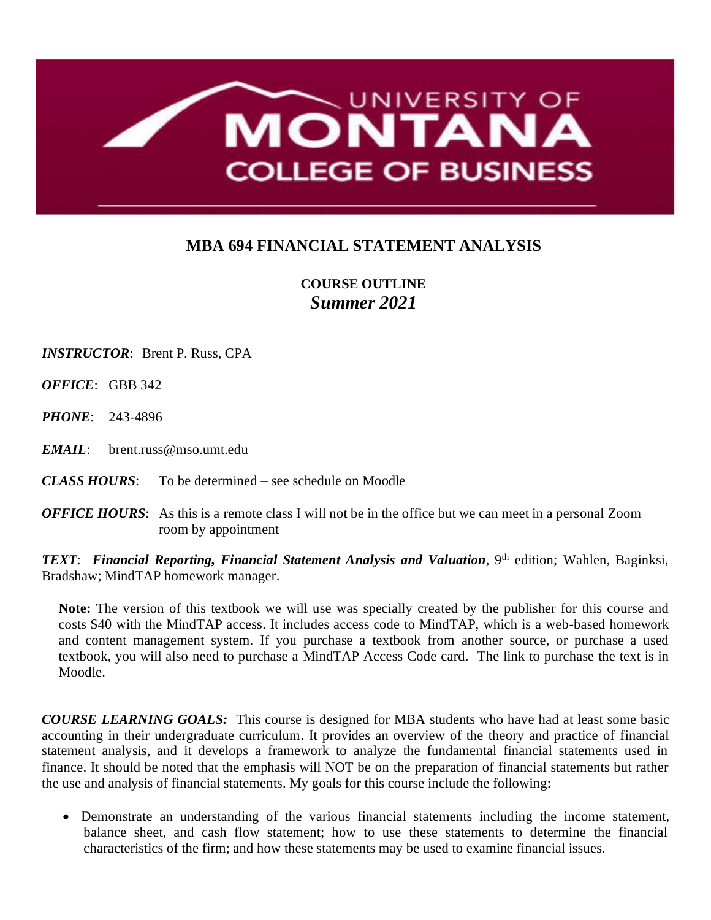

## **MBA 694 FINANCIAL STATEMENT ANALYSIS**

## **COURSE OUTLINE** *Summer 2021*

*INSTRUCTOR*: Brent P. Russ, CPA

*OFFICE*: GBB 342

*PHONE*: 243-4896

*EMAIL*: brent.russ@mso.umt.edu

*CLASS HOURS*: To be determined – see schedule on Moodle

*OFFICE HOURS:* As this is a remote class I will not be in the office but we can meet in a personal Zoom room by appointment

*TEXT*: *Financial Reporting, Financial Statement Analysis and Valuation,* 9 th edition; Wahlen, Baginksi, Bradshaw; MindTAP homework manager.

**Note:** The version of this textbook we will use was specially created by the publisher for this course and costs \$40 with the MindTAP access. It includes access code to MindTAP, which is a web-based homework and content management system. If you purchase a textbook from another source, or purchase a used textbook, you will also need to purchase a MindTAP Access Code card. The link to purchase the text is in Moodle.

*COURSE LEARNING GOALS:* This course is designed for MBA students who have had at least some basic accounting in their undergraduate curriculum. It provides an overview of the theory and practice of financial statement analysis, and it develops a framework to analyze the fundamental financial statements used in finance. It should be noted that the emphasis will NOT be on the preparation of financial statements but rather the use and analysis of financial statements. My goals for this course include the following:

• Demonstrate an understanding of the various financial statements including the income statement, balance sheet, and cash flow statement; how to use these statements to determine the financial characteristics of the firm; and how these statements may be used to examine financial issues.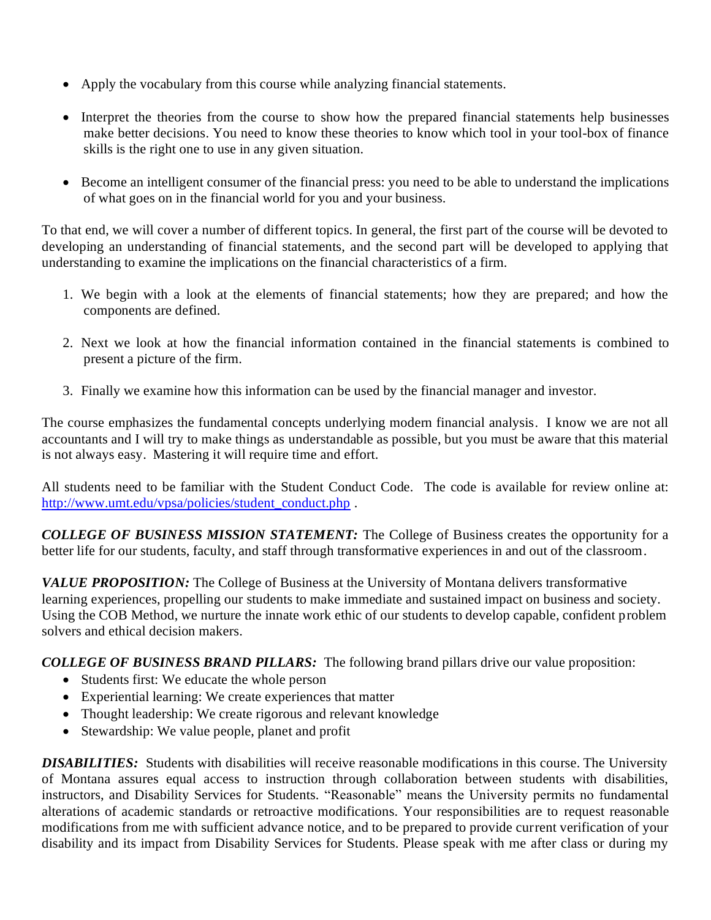- Apply the vocabulary from this course while analyzing financial statements.
- Interpret the theories from the course to show how the prepared financial statements help businesses make better decisions. You need to know these theories to know which tool in your tool-box of finance skills is the right one to use in any given situation.
- Become an intelligent consumer of the financial press: you need to be able to understand the implications of what goes on in the financial world for you and your business.

To that end, we will cover a number of different topics. In general, the first part of the course will be devoted to developing an understanding of financial statements, and the second part will be developed to applying that understanding to examine the implications on the financial characteristics of a firm.

- 1. We begin with a look at the elements of financial statements; how they are prepared; and how the components are defined.
- 2. Next we look at how the financial information contained in the financial statements is combined to present a picture of the firm.
- 3. Finally we examine how this information can be used by the financial manager and investor.

The course emphasizes the fundamental concepts underlying modern financial analysis. I know we are not all accountants and I will try to make things as understandable as possible, but you must be aware that this material is not always easy. Mastering it will require time and effort.

All students need to be familiar with the Student Conduct Code. The code is available for review online at: [http://www.umt.edu/vpsa/policies/student\\_conduct.php](http://www.umt.edu/vpsa/policies/student_conduct.php) .

*COLLEGE OF BUSINESS MISSION STATEMENT:* The College of Business creates the opportunity for a better life for our students, faculty, and staff through transformative experiences in and out of the classroom.

*VALUE PROPOSITION:* The College of Business at the University of Montana delivers transformative learning experiences, propelling our students to make immediate and sustained impact on business and society. Using the COB Method, we nurture the innate work ethic of our students to develop capable, confident problem solvers and ethical decision makers.

*COLLEGE OF BUSINESS BRAND PILLARS:* The following brand pillars drive our value proposition:

- Students first: We educate the whole person
- Experiential learning: We create experiences that matter
- Thought leadership: We create rigorous and relevant knowledge
- Stewardship: We value people, planet and profit

*DISABILITIES:* Students with disabilities will receive reasonable modifications in this course. The University of Montana assures equal access to instruction through collaboration between students with disabilities, instructors, and Disability Services for Students. "Reasonable" means the University permits no fundamental alterations of academic standards or retroactive modifications. Your responsibilities are to request reasonable modifications from me with sufficient advance notice, and to be prepared to provide current verification of your disability and its impact from Disability Services for Students. Please speak with me after class or during my